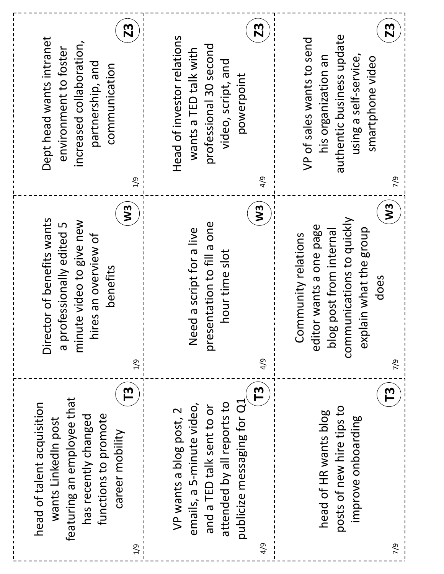| 23<br>Dept head wants intranet<br>increased collaboration,<br>environment to foster<br>partnership, and<br>communication<br>1/9                                     | 23<br>Head of investor relations<br>professional 30 second<br>wants a TED talk with<br>video, script, and<br>powerpoint<br>4/9                                       | Z3<br>authentic business update<br>VP of sales wants to send<br>using a self-service,<br>his organization an<br>smartphone video<br>7/9                              |
|---------------------------------------------------------------------------------------------------------------------------------------------------------------------|----------------------------------------------------------------------------------------------------------------------------------------------------------------------|----------------------------------------------------------------------------------------------------------------------------------------------------------------------|
| W <sub>3</sub><br>Director of benefits wants<br>minute video to give new<br>a professionally edited 5<br>ires an overview of<br>benefits<br>드<br>$\frac{6}{1}$      | $\boldsymbol{\mathsf{N}}$<br>presentation to fill a one<br>ed a script for a live<br>hour time slot<br>$\frac{\omega}{Z}$<br>4/9                                     | W <sub>3</sub><br>communications to quickly<br>or wants a one page<br>explain what the group<br>blog post from internal<br>Community relations<br>does<br>edit<br>26 |
| რ<br>T<br>featuring an employee that<br>head of talent acquisition<br>functions to promote<br>has recently changed<br>wants LinkedIn post<br>career mobility<br>1/9 | $\mathbf{L}$<br>publicize messaging for Q1<br>attended by all reports to<br>emails, a 5-minute video,<br>and a TED talk sent to or<br>VP wants a blog post, 2<br>4/9 | $\mathsf{T}^3$<br>posts of new hire tips to<br>head of HR wants blog<br>improve onboarding<br>7/9                                                                    |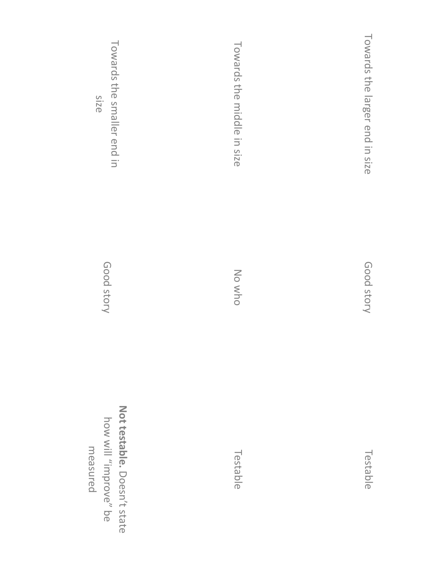| Towards the smaller end in<br>Size                               | Towards the middle in size | Towards the larger end in size |
|------------------------------------------------------------------|----------------------------|--------------------------------|
| Good story                                                       | No who                     | Good story                     |
| Not testable. Doesn't state<br>how will "improve" be<br>measured | Testable                   | Testable                       |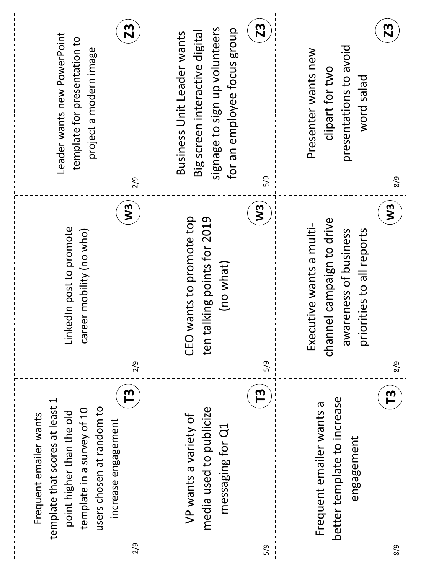| <b>Z3</b><br>Leader wants new PowerPoint<br>template for presentation to<br>project a modern image<br>2/9<br>$\mathbf{W}$                                                                          | 23<br>signage to sign up volunteers<br>for an employee focus group<br>Business Unit Leader wants<br>Big screen interactive digital<br>5/9<br>$\boldsymbol{\mathsf{S}}$ | Z3<br>presentations to avoid<br>Presenter wants new<br>clipart for two<br>peles piow<br>8/8<br>$\mathbf{y}$         |
|----------------------------------------------------------------------------------------------------------------------------------------------------------------------------------------------------|------------------------------------------------------------------------------------------------------------------------------------------------------------------------|---------------------------------------------------------------------------------------------------------------------|
| LinkedIn post to promote<br>reer mobility (no who)<br>ෆි<br>2/9                                                                                                                                    | wants to promote top<br>talking points for 2019<br>(no what)<br>CEO<br>ten<br>5/9                                                                                      | channel campaign to drive<br>Executive wants a multi-<br>priorities to all reports<br>awareness of business<br>8/8  |
| $\mathbf{L}$<br>1<br>template that scores at least<br>users chosen at random to<br>template in a survey of 10<br>point higher than the old<br>Frequent emailer wants<br>increase engagement<br>2/9 | <u>რ</u><br>media used to publicize<br>VP wants a variety of<br>messaging for Q1<br>5/9                                                                                | $\mathsf{T}^{\mathbf{3}}$<br>better template to increase<br>Frequent emailer wants a<br>engagement<br>$\frac{8}{9}$ |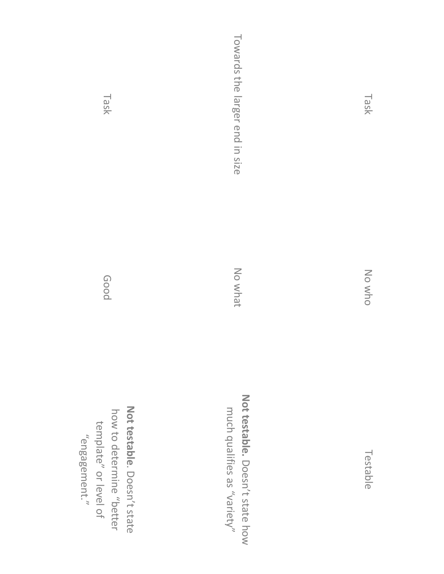| Task                                                                                              | Towards the larger end in size                          |  |
|---------------------------------------------------------------------------------------------------|---------------------------------------------------------|--|
| poog                                                                                              | No what                                                 |  |
| Not testable. Doesn't state<br>how to determine "better<br>template" or level of<br>"engagement." | Not testable. Doesn't state how<br>"Varies as "variety" |  |

Testable

No who

Task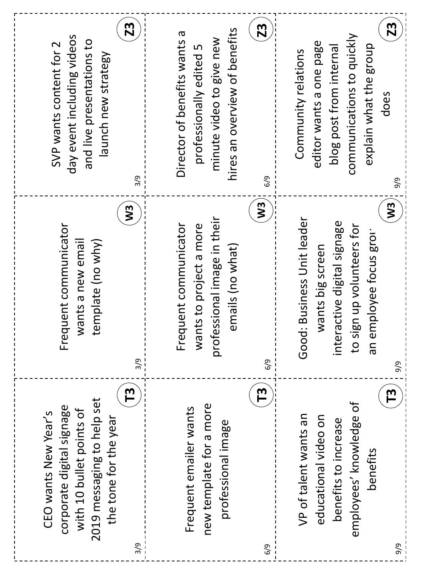| Z3<br>day event including videos<br>and live presentations to<br>SVP wants content for 2<br>launch new strategy<br>$\frac{9}{2}$                        | Z3<br>hires an overview of benefits<br>Director of benefits wants a<br>minute video to give new<br>professionally edited 5<br>6/9 | <b>Z3</b><br>communications to quickly<br>editor wants a one page<br>explain what the group<br>blog post from internal<br>Community relations<br>does<br>9/9      |
|---------------------------------------------------------------------------------------------------------------------------------------------------------|-----------------------------------------------------------------------------------------------------------------------------------|-------------------------------------------------------------------------------------------------------------------------------------------------------------------|
| $\boldsymbol{\Sigma}$<br>Frequent communicator<br>wants a new email<br>template (no why)<br>$\frac{3}{9}$                                               | W <sub>3</sub><br>professional image in their<br>Frequent communicator<br>wants to project a more<br>emails (no what)<br>6/9      | W <sub>3</sub><br>Good: Business Unit leader<br>interactive digital signage<br>to sign up volunteers for<br>mployee focus grou<br>wants big screen<br>an e<br>9/9 |
| <u>რ</u><br>2019 messaging to help set<br>corporate digital signage<br>with 10 bullet points of<br>CEO wants New Year's<br>the tone for the year<br>3/9 | <u>რ</u><br>new template for a more<br>Frequent emailer wants<br>professional image<br>6/9                                        | $\mathsf{T}^3$<br>employees' knowledge of<br>VP of talent wants an<br>educational video on<br>benefits to increase<br>benefits<br>9/9                             |